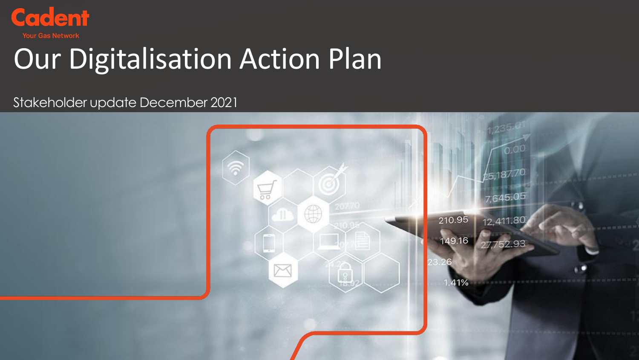

# Our Digitalisation Action Plan

Stakeholder update December 2021

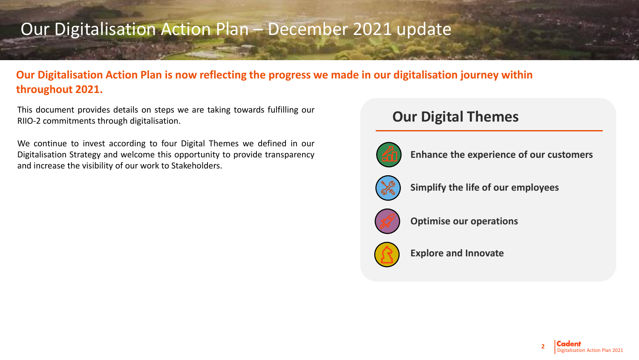# Our Digitalisation Action Plan – December 2021 update

# **Our Digitalisation Action Plan is now reflecting the progress we made in our digitalisation journey within throughout 2021.**

This document provides details on steps we are taking towards fulfilling our RIIO-2 commitments through digitalisation.

We continue to invest according to four Digital Themes we defined in our Digitalisation Strategy and welcome this opportunity to provide transparency and increase the visibility of our work to Stakeholders.

# **Our Digital Themes**



**Enhance the experience of our customers**



**Simplify the life of our employees**



**Optimise our operations**



**Explore and Innovate**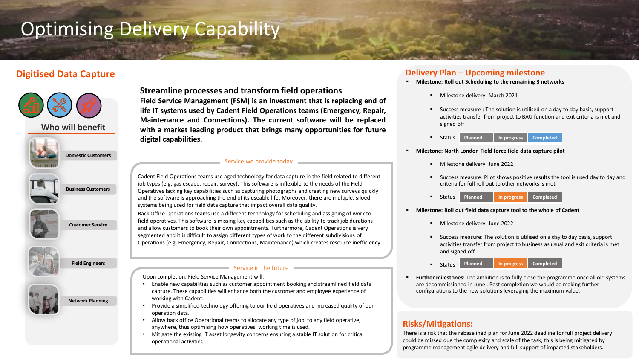# Optimising Delivery Capability



**Customer Service**



**Network Planning**

**Streamline processes and transform field operations Field Service Management (FSM) is an investment that is replacing end of**

**life IT systems used by Cadent Field Operations teams (Emergency, Repair, Maintenance and Connections). The current software will be replaced with a market leading product that brings many opportunities for future digital capabilities**.

### Service we provide today

Cadent Field Operations teams use aged technology for data capture in the field related to different job types (e.g. gas escape, repair, survey). This software is inflexible to the needs of the Field Operatives lacking key capabilities such as capturing photographs and creating new surveys quickly and the software is approaching the end of its useable life**.** Moreover, there are multiple, siloed systems being used for field data capture that impact overall data quality.

Back Office Operations teams use a different technology for scheduling and assigning of work to field operatives. This software is missing key capabilities such as the ability to track job durations and allow customers to book their own appointments. Furthermore, Cadent Operations is very segmented and it is difficult to assign different types of work to the different subdivisions of Operations (e.g. Emergency, Repair, Connections, Maintenance) which creates resource inefficiency.

#### Service in the future

Upon completion, Field Service Management will:

- Enable new capabilities such as customer appointment booking and streamlined field data capture. These capabilities will enhance both the customer and employee experience of working with Cadent.
- Provide a simplified technology offering to our field operatives and increased quality of our operation data.
- Allow back office Operational teams to allocate any type of job, to any field operative, anywhere, thus optimising how operatives' working time is used.
- Mitigate the existing IT asset longevity concerns ensuring a stable IT solution for critical operational activities.

# **Digitised Data Capture Delivery Plan – Upcoming milestone**

- **Milestone: Roll out Scheduling to the remaining 3 networks** 
	- Milestone delivery: March 2021
	- Success measure : The solution is utilised on a day to day basis, support activities transfer from project to BAU function and exit criteria is met and signed off
	- Status **Planned In progress Completed**

### ▪ **Milestone: North London Field force field data capture pilot**

- Milestone delivery: June 2022
- Success measure: Pilot shows positive results the tool is used day to day and criteria for full roll out to other networks is met
- Status **Planned In progress Completed**
- **Milestone: Roll out field data capture tool to the whole of Cadent** 
	- Milestone delivery: June 2022
	- Success measure: The solution is utilised on a day to day basis, support activities transfer from project to business as usual and exit criteria is met and signed off

■ Status **Field Engineers Planned In progress Completed**

**Further milestones:** The ambition is to fully close the programme once all old systems are decommissioned in June . Post completion we would be making further configurations to the new solutions leveraging the maximum value.

# **Risks/Mitigations:**

programme management agile delivery and full support of impacted stakeholders. There is a risk that the rebaselined plan for June 2022 deadline for full project delivery could be missed due the complexity and scale of the task, this is being mitigated by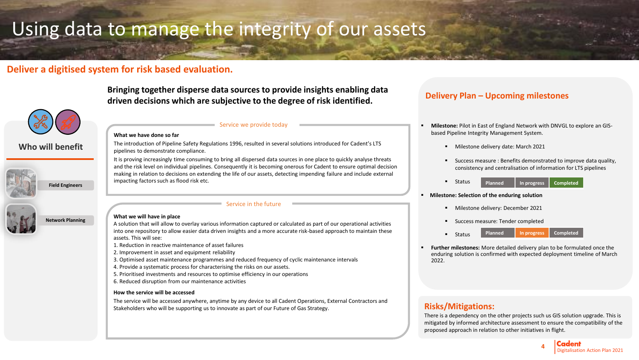# Using data to manage the integrity of our assets

# **Deliver a digitised system for risk based evaluation.**



### **Who will benefit**



**Bringing together disperse data sources to provide insights enabling data driven decisions which are subjective to the degree of risk identified.**

### Service we provide today

#### **What we have done so far**

The introduction of Pipeline Safety Regulations 1996, resulted in several solutions introduced for Cadent's LTS pipelines to demonstrate compliance.

It is proving increasingly time consuming to bring all dispersed data sources in one place to quickly analyse threats and the risk level on individual pipelines. Consequently it is becoming onerous for Cadent to ensure optimal decision making in relation to decisions on extending the life of our assets, detecting impending failure and include external impacting factors such as flood risk etc.

### Service in the future

### **What we will have in place**

A solution that will allow to overlay various information captured or calculated as part of our operational activities into one repository to allow easier data driven insights and a more accurate risk-based approach to maintain these assets. This will see:

- 1. Reduction in reactive maintenance of asset failures
- 2. Improvement in asset and equipment reliability
- 3. Optimised asset maintenance programmes and reduced frequency of cyclic maintenance intervals
- 4. Provide a systematic process for characterising the risks on our assets.
- 5. Prioritised investments and resources to optimise efficiency in our operations
- 6. Reduced disruption from our maintenance activities

### **How the service will be accessed**

The service will be accessed anywhere, anytime by any device to all Cadent Operations, External Contractors and Stakeholders who will be supporting us to innovate as part of our Future of Gas Strategy.

# **Delivery Plan – Upcoming milestones**

- **Milestone:** Pilot in East of England Network with DNVGL to explore an GISbased Pipeline Integrity Management System.
	- Milestone delivery date: March 2021
	- Success measure : Benefits demonstrated to improve data quality, consistency and centralisation of information for LTS pipelines
	- Status **Planned In progress Completed**

### **Milestone: Selection of the enduring solution**

- Milestone delivery: December 2021
- Success measure: Tender completed
- Status **Planned In progress Completed**
- **Further milestones:** More detailed delivery plan to be formulated once the enduring solution is confirmed with expected deployment timeline of March 2022.

## **Risks/Mitigations:**

There is a dependency on the other projects such us GIS solution upgrade. This is mitigated by informed architecture assessment to ensure the compatibility of the proposed approach in relation to other initiatives in flight.

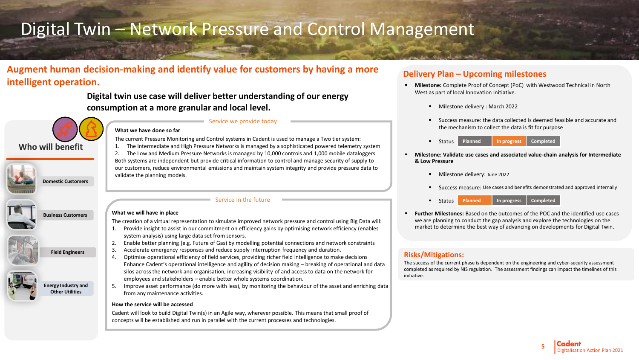# Digital Twin – Network Pressure and Control Management

# **Augment human decision-making and identify value for customers by having a more intelligent operation.**

# **Digital twin use case will deliver better understanding of our energy consumption at a more granular and local level.**



**Domestic Customers**

**Business Customers**

**Energy Industry and Other Utilities**

**Field Engineers**

### **What we have done so far**

The current Pressure Monitoring and Control systems in Cadent is used to manage a Two tier system:

Service we provide today

- 1. The Intermediate and High Pressure Networks is managed by a sophisticated powered telemetry system
- 2. The Low and Medium Pressure Networks is managed by 10,000 controls and 1,000 mobile dataloggers Both systems are independent but provide critical information to control and manage security of supply to our customers, reduce environmental emissions and maintain system integrity and provide pressure data to validate the planning models.

### Service in the future

### **What we will have in place**

The creation of a virtual representation to simulate improved network pressure and control using Big Data will:

- 1. Provide insight to assist in our commitment on efficiency gains by optimising network efficiency (enables system analysis) using large data set from sensors.
- 2. Enable better planning (e.g. Future of Gas) by modelling potential connections and network constraints
- 3. Accelerate emergency responses and reduce supply interruption frequency and duration.
- 4. Optimise operational efficiency of field services, providing richer field intelligence to make decisions Enhance Cadent's operational intelligence and agility of decision making – breaking of operational and data silos across the network and organisation, increasing visibility of and access to data on the network for employees and stakeholders – enable better whole systems coordination.
- 5. Improve asset performance (do more with less), by monitoring the behaviour of the asset and enriching data from any maintenance activities.

### **How the service will be accessed**

Cadent will look to build Digital Twin(s) in an Agile way, wherever possible. This means that small proof of concepts will be established and run in parallel with the current processes and technologies.

# **Delivery Plan – Upcoming milestones**

- **Milestone:** Complete Proof of Concept (PoC) with Westwood Technical in North West as part of local Innovation Initiative.
	- Milestone delivery : March 2022
	- Success measure: the data collected is deemed feasible and accurate and the mechanism to collect the data is fit for purpose
	- Status **Planned In progress Completed**
- **Milestone: Validate use cases and associated value-chain analysis for Intermediate & Low Pressure** 
	- Milestone delivery: June 2022
	- Success measure: Use cases and benefits demonstrated and approved internally
	- **Status Planned In progress Completed**
- Further Milestones: Based on the outcomes of the POC and the identified use cases we are planning to conduct the gap analysis and explore the technologies on the market to determine the best way of advancing on developments for Digital Twin.

## **Risks/Mitigations:**

The success of the current phase is dependent on the engineering and cyber-security assessment completed as required by NIS regulation. The assessment findings can impact the timelines of this initiative.

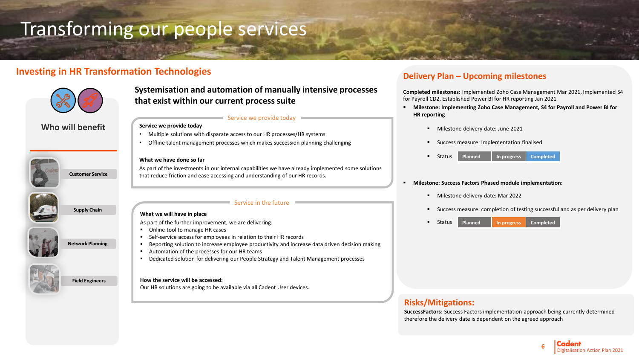# Transforming our people services

# **Investing in HR Transformation Technologies**



### **Who will benefit**



**Customer Service**



**Supply Chain**

# **Network Planning**

**Field Engineers**



**Systemisation and automation of manually intensive processes that exist within our current process suite** 

### Service we provide today

### **Service we provide today**

- Multiple solutions with disparate access to our HR processes/HR systems
- Offline talent management processes which makes succession planning challenging

### **What we have done so far**

As part of the investments in our internal capabilities we have already implemented some solutions that reduce friction and ease accessing and understanding of our HR records.

### Service in the future

### **What we will have in place**

As part of the further improvement, we are delivering:

- Online tool to manage HR cases
- Self-service access for employees in relation to their HR records
- Reporting solution to increase employee productivity and increase data driven decision making
- Automation of the processes for our HR teams
- Dedicated solution for delivering our People Strategy and Talent Management processes

### **How the service will be accessed:**

Our HR solutions are going to be available via all Cadent User devices.

# **Delivery Plan – Upcoming milestones**

**Completed milestones:** Implemented Zoho Case Management Mar 2021, Implemented S4 for Payroll CD2, Established Power BI for HR reporting Jan 2021

- **Milestone: Implementing Zoho Case Management, S4 for Payroll and Power BI for HR reporting**
	- Milestone delivery date: June 2021
	- Success measure: Implementation finalised
	- Status **Planned In progress Completed**

### ▪ **Milestone: Success Factors Phased module implementation:**

- Milestone delivery date: Mar 2022
- Success measure: completion of testing successful and as per delivery plan
- **Status Planned In progress Completed**

# **Risks/Mitigations:**

**SuccessFactors:** Success Factors implementation approach being currently determined therefore the delivery date is dependent on the agreed approach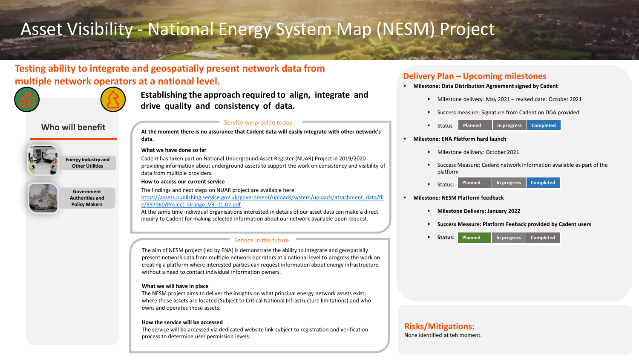# Asset Visibility - National Energy System Map (NESM) Project

# **Testing ability to integrate and geospatially present network data from multiple** network operators at a national level. *Delivery Plan –* Upcoming milestones



**Establishing the approach required to align, integrate and drive quality and consistency of data.** 

## **Who will benefit**



**Energy Industry and Other Utilities**



**Government Authorities and Policy Makers**

### Service we provide today

**At the moment there is no assurance that Cadent data will easily integrate with other network's data.**

### **What we have done so far**

Cadent has taken part on National Underground Asset Register (NUAR) Project in 2019/2020 providing information about underground assets to support the work on consistency and visibility of data from multiple providers.

### **How to access our current service**

The findings and next steps on NUAR project are available here: [https://assets.publishing.service.gov.uk/government/uploads/system/uploads/attachment\\_data/fil](https://assets.publishing.service.gov.uk/government/uploads/system/uploads/attachment_data/file/897060/Project_Orange_V3_01.07.pdf)

e/897060/Project\_Orange\_V3\_01.07.pdf

At the same time individual organisations interested in details of our asset data can make a direct inquiry to Cadent for making selected information about our network available upon request.

### Service in the future

The aim of NESM project (led by ENA) is demonstrate the ability to integrate and geospatially present network data from multiple network operators at a national level to progress the work on creating a platform where interested parties can request information about energy infrastructure without a need to contact individual information owners.

### **What we will have in place**

The NESM project aims to deliver the insights on what principal energy network assets exist, where these assets are located (Subject to Critical National Infrastructure limitations) and who owns and operates those assets.

### **How the service will be accessed**

The service will be accessed via dedicated website link subject to registration and verification process to determine user permission levels.

- **Milestone: Data Distribution Agreement signed by Cadent** 
	- Milestone delivery: May 2021 revised date: October 2021
	- Success measure: Signature from Cadent on DDA provided
	- Status **Planned In progress Completed**
- **Milestone: ENA Platform hard launch**
	- Milestone delivery: October 2021
	- Success Measure: Cadent network information available as part of the platform
	- Status: **Planned In progress Completed**
- **Milestone: NESM Platform feedback**
	- **Milestone Delivery: January 2022**
	- **Success Measure: Platform Feeback provided by Cadent users**
	- **Status: Planned In progress Completed**

# **Risks/Mitigations:**

None identified at teh moment.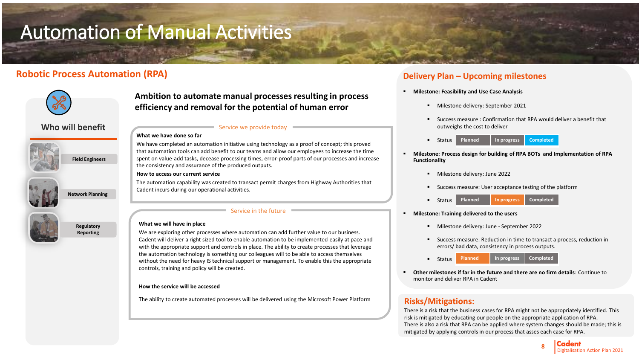# Automation of Manual Activities

# **Robotic Process Automation (RPA) Delivery Plan – Upcoming milestones**



**Ambition to automate manual processes resulting in process efficiency and removal for the potential of human error**

## **Who will benefit**



**Field Engineers**



**Regulatory Reporting**

**Network Planning**

### Service we provide today

**What we have done so far**

We have completed an automation initiative using technology as a proof of concept; this proved that automation tools can add benefit to our teams and allow our employees to increase the time spent on value-add tasks, decease processing times, error-proof parts of our processes and increase the consistency and assurance of the produced outputs.

### **How to access our current service**

The automation capability was created to transact permit charges from Highway Authorities that Cadent incurs during our operational activities.

### Service in the future

### **What we will have in place**

We are exploring other processes where automation can add further value to our business. Cadent will deliver a right sized tool to enable automation to be implemented easily at pace and with the appropriate support and controls in place. The ability to create processes that leverage the automation technology is something our colleagues will to be able to access themselves without the need for heavy IS technical support or management. To enable this the appropriate controls, training and policy will be created.

### **How the service will be accessed**

The ability to create automated processes will be delivered using the Microsoft Power Platform

- **Milestone: Feasibility and Use Case Analysis** 
	- Milestone delivery: September 2021
	- Success measure : Confirmation that RPA would deliver a benefit that outweighs the cost to deliver
	- Status **Planned In progress Completed**
- **Milestone: Process design for building of RPA BOTs and Implementation of RPA Functionality** 
	- Milestone delivery: June 2022
	- Success measure: User acceptance testing of the platform
	- Status **Planned In progress Completed**
- **Milestone: Training delivered to the users**
	- Milestone delivery: June September 2022
	- Success measure: Reduction in time to transact a process, reduction in errors/ bad data, consistency in process outputs.
	- Status **Planned In progress Completed**
- **Other milestones if far in the future and there are no firm details**: Continue to monitor and deliver RPA in Cadent

# **Risks/Mitigations:**

There is a risk that the business cases for RPA might not be appropriately identified. This risk is mitigated by educating our people on the appropriate application of RPA. There is also a risk that RPA can be applied where system changes should be made; this is mitigated by applying controls in our process that asses each case for RPA.

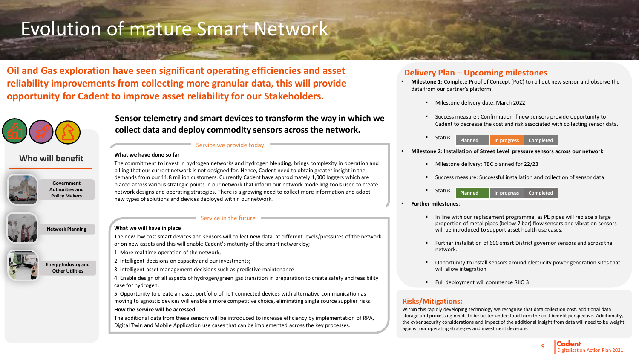# Evolution of mature Smart Network

**Oil and Gas exploration have seen significant operating efficiencies and asset reliability improvements from collecting more granular data, this will provide opportunity for Cadent to improve asset reliability for our Stakeholders.**



**Who will benefit**



**Government Authorities and Policy Makers**



**Network Planning**

**Energy Industry and Other Utilities**



### **What we will have in place**

**What we have done so far**

The new low cost smart devices and sensors will collect new data, at different levels/pressures of the network or on new assets and this will enable Cadent's maturity of the smart network by;

**Sensor telemetry and smart devices to transform the way in which we** 

The commitment to invest in hydrogen networks and hydrogen blending, brings complexity in operation and billing that our current network is not designed for. Hence, Cadent need to obtain greater insight in the demands from our 11.8 million customers. Currently Cadent have approximately 1,000 loggers which are placed across various strategic points in our network that inform our network modelling tools used to create network designs and operating strategies. There is a growing need to collect more information and adopt

**collect data and deploy commodity sensors across the network.**

Service we provide today

**Service in the future** 

1. More real time operation of the network,

2. Intelligent decisions on capacity and our investments;

3. Intelligent asset management decisions such as predictive maintenance

new types of solutions and devices deployed within our network.

4. Enable design of all aspects of hydrogen/green gas transition in preparation to create safety and feasibility case for hydrogen.

5. Opportunity to create an asset portfolio of IoT connected devices with alternative communication as moving to agnostic devices will enable a more competitive choice, eliminating single source supplier risks.

### **How the service will be accessed**

The additional data from these sensors will be introduced to increase efficiency by implementation of RPA, Digital Twin and Mobile Application use cases that can be implemented across the key processes.

# **Delivery Plan – Upcoming milestones**

- **Milestone 1:** Complete Proof of Concept (PoC) to roll out new sensor and observe the data from our partner's platform.
	- Milestone delivery date: March 2022
	- Success measure : Confirmation if new sensors provide opportunity to Cadent to decrease the cost and risk associated with collecting sensor data.
	- Status **Planned In progress Completed**

### ▪ **Milestone 2: Installation of Street Level pressure sensors across our network**

- Milestone delivery: TBC planned for 22/23
- Success measure: Successful installation and collection of sensor data
- Status **Planned In progress Completed**
- **Further milestones**:
	- In line with our replacement programme, as PE pipes will replace a large proportion of metal pipes (below 7 bar) flow sensors and vibration sensors will be introduced to support asset health use cases.
	- Further installation of 600 smart District governor sensors and across the network.
	- Opportunity to install sensors around electricity power generation sites that will allow integration
	- Full deployment will commence RIIO 3

### **Risks/Mitigations:**

Within this rapidly developing technology we recognise that data collection cost, additional data storage and processing needs to be better understood form the cost benefit perspective. Additionally, the cyber security considerations and impact of the additional insight from data will need to be weight against our operating strategies and investment decisions.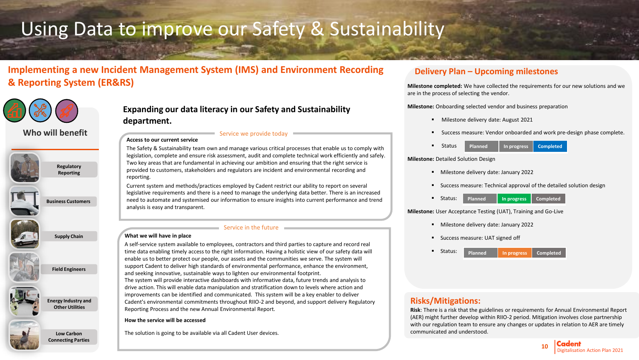# Using Data to improve our Safety & Sustainability

# **Implementing a new Incident Management System (IMS) and Environment Recording & Reporting System (ER&RS)**



**Who will benefit**





**Low Carbon Connecting Parties**

# **Expanding our data literacy in our Safety and Sustainability department.**

#### **Access to our current service**  Service we provide today

The Safety & Sustainability team own and manage various critical processes that enable us to comply with legislation, complete and ensure risk assessment, audit and complete technical work efficiently and safely. Two key areas that are fundamental in achieving our ambition and ensuring that the right service is provided to customers, stakeholders and regulators are incident and environmental recording and reporting.

Current system and methods/practices employed by Cadent restrict our ability to report on several legislative requirements and there is a need to manage the underlying data better. There is an increased need to automate and systemised our information to ensure insights into current performance and trend analysis is easy and transparent.

### $\blacksquare$  Service in the future  $\blacksquare$

### **What we will have in place**

A self-service system available to employees, contractors and third parties to capture and record real time data enabling timely access to the right information. Having a holistic view of our safety data will enable us to better protect our people, our assets and the communities we serve. The system will support Cadent to deliver high standards of environmental performance, enhance the environment, and seeking innovative, sustainable ways to lighten our environmental footprint.

The system will provide interactive dashboards with informative data, future trends and analysis to drive action. This will enable data manipulation and stratification down to levels where action and improvements can be identified and communicated. This system will be a key enabler to deliver Cadent's environmental commitments throughout RIIO-2 and beyond, and support delivery Regulatory Reporting Process and the new Annual Environmental Report.

### **How the service will be accessed**

The solution is going to be available via all Cadent User devices.

### **Delivery Plan – Upcoming milestones**

**Milestone completed:** We have collected the requirements for our new solutions and we are in the process of selecting the vendor.

**Milestone:** Onboarding selected vendor and business preparation

- Milestone delivery date: August 2021
- Success measure: Vendor onboarded and work pre-design phase complete.
- **Status Planned In progress Completed**

### **Milestone:** Detailed Solution Design

- Milestone delivery date: January 2022
- Success measure: Technical approval of the detailed solution design
- Status: **Planned In progress Completed**

### **Milestone:** User Acceptance Testing (UAT), Training and Go-Live

- Milestone delivery date: January 2022
- Success measure: UAT signed off



## **Risks/Mitigations:**

**Risk**: There is a risk that the guidelines or requirements for Annual Environmental Report (AER) might further develop within RIIO-2 period. Mitigation involves close partnership with our regulation team to ensure any changes or updates in relation to AER are timely communicated and understood.

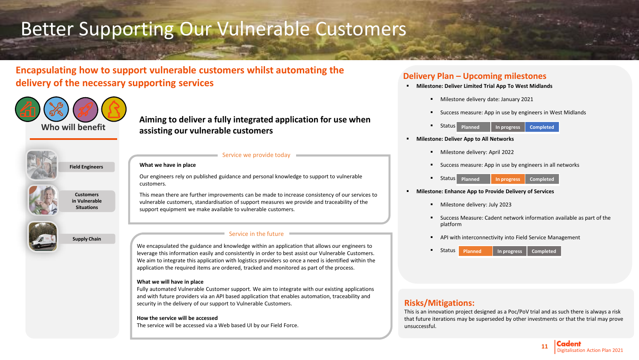# Better Supporting Our Vulnerable Customers

**Encapsulating how to support vulnerable customers whilst automating the delivery of the necessary supporting services**



**Aiming to deliver a fully integrated application for use when assisting our vulnerable customers**



**Field Engineers**



**Customers in Vulnerable Situations**



### **What we have in place**

Our engineers rely on published guidance and personal knowledge to support to vulnerable customers.

 $\blacksquare$  Service we provide today  $\blacksquare$ 

This mean there are further improvements can be made to increase consistency of our services to vulnerable customers, standardisation of support measures we provide and traceability of the support equipment we make available to vulnerable customers.

### Service in the future

We encapsulated the guidance and knowledge within an application that allows our engineers to leverage this information easily and consistently in order to best assist our Vulnerable Customers. We aim to integrate this application with logistics providers so once a need is identified within the application the required items are ordered, tracked and monitored as part of the process.

### **What we will have in place**

Fully automated Vulnerable Customer support. We aim to integrate with our existing applications and with future providers via an API based application that enables automation, traceability and security in the delivery of our support to Vulnerable Customers.

### **How the service will be accessed**

The service will be accessed via a Web based UI by our Field Force.

# **Delivery Plan – Upcoming milestones**

- **Milestone: Deliver Limited Trial App To West Midlands**
	- Milestone delivery date: January 2021
	- Success measure: App in use by engineers in West Midlands
	- **Planned In progress Completed Planned In progress Completed Status**
- **Milestone: Deliver App to All Networks**
	- Milestone delivery: April 2022
	- Success measure: App in use by engineers in all networks
	- **Planned In progress Completed** Status Planned **In progress**
- **Milestone: Enhance App to Provide Delivery of Services**
	- Milestone delivery: July 2023
	- Success Measure: Cadent network information available as part of the platform
	- **■** API with interconnectivity into Field Service Management
	- Status **Planned In progress Completed**

## **Risks/Mitigations:**

This is an innovation project designed as a Poc/PoV trial and as such there is always a risk that future iterations may be superseded by other investments or that the trial may prove unsuccessful.

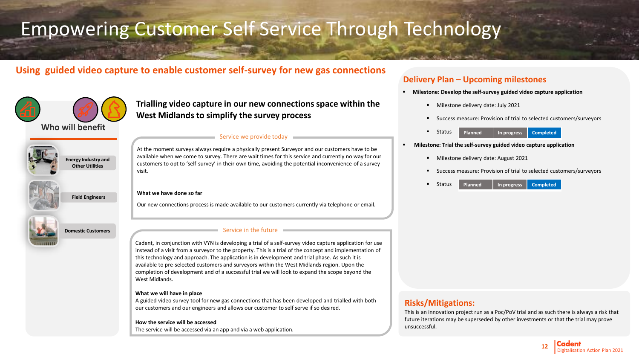# Empowering Customer Self Service Through Technology

# **Using guided video capture to enable customer self-survey for new gas connections**



**Trialling video capture in our new connections space within the West Midlands to simplify the survey process**

## **Who will benefit**



**Energy Industry and Other Utilities**

**Field Engineers**



**Domestic Customers**

### Service we provide today

At the moment surveys always require a physically present Surveyor and our customers have to be available when we come to survey. There are wait times for this service and currently no way for our customers to opt to 'self-survey' in their own time, avoiding the potential inconvenience of a survey visit.

### **What we have done so far**

Our new connections process is made available to our customers currently via telephone or email.

### Service in the future

Cadent, in conjunction with VYN is developing a trial of a self-survey video capture application for use instead of a visit from a surveyor to the property. This is a trial of the concept and implementation of this technology and approach. The application is in development and trial phase. As such it is available to pre-selected customers and surveyors within the West Midlands region. Upon the completion of development and of a successful trial we will look to expand the scope beyond the West Midlands.

#### **What we will have in place**

A guided video survey tool for new gas connections that has been developed and trialled with both our customers and our engineers and allows our customer to self serve if so desired.

### **How the service will be accessed**

The service will be accessed via an app and via a web application.

## **Delivery Plan – Upcoming milestones**

- **Milestone: Develop the self-survey guided video capture application**
	- Milestone delivery date: July 2021
	- Success measure: Provision of trial to selected customers/surveyors
	- Status **Planned In progress Completed**
- **Milestone: Trial the self-survey guided video capture application**
	- Milestone delivery date: August 2021
	- Success measure: Provision of trial to selected customers/surveyors
	- Status **Planned In progress Completed**

### **Risks/Mitigations:**

This is an innovation project run as a Poc/PoV trial and as such there is always a risk that future iterations may be superseded by other investments or that the trial may prove unsuccessful.

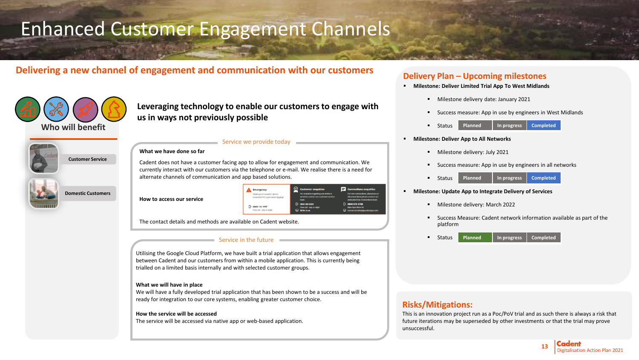# Enhanced Customer Engagement Channels

# **Delivering a new channel of engagement and communication with our customers <b>Delivery Plan –** Upcoming milestones



**Domestic Customers**

**Leveraging technology to enable our customers to engage with us in ways not previously possible**

### Service we provide today



Cadent does not have a customer facing app to allow for engagement and communication. We currently interact with our customers via the telephone or e-mail. We realise there is a need for alternate channels of communication and app based solutions.

#### **How to access our service**

| <b>Emergency</b>                                                  | <b>Customer enquiries</b>                                                              | $\equiv$ Connections enquiries                                                                             |
|-------------------------------------------------------------------|----------------------------------------------------------------------------------------|------------------------------------------------------------------------------------------------------------|
| Smell gas or suspect carbon<br>monoxide?Hit a pipe while digging? | For enquiries regarding our works or<br>services, contact our customer service<br>team | For new connections, alterations or<br>disconnections please contact our<br>dedicated Gas Connections team |
| 0800 111 999*<br>Free call - day or night                         | $\Box$ 0800 389 8000<br>Free call - day or night<br>$\Box$ Write to us                 | $\Box 08000745788$<br>8am-6pm Mon-Fri<br>connectionshelp@cadentgas.com                                     |

The contact details and methods are available on Cadent website.

#### Service in the future

Utilising the Google Cloud Platform, we have built a trial application that allows engagement between Cadent and our customers from within a mobile application. This is currently being trialled on a limited basis internally and with selected customer groups.

#### **What we will have in place**

We will have a fully developed trial application that has been shown to be a success and will be ready for integration to our core systems, enabling greater customer choice.

#### **How the service will be accessed**

The service will be accessed via native app or web-based application.

- **Milestone: Deliver Limited Trial App To West Midlands** 
	- Milestone delivery date: January 2021
	- Success measure: App in use by engineers in West Midlands
	- Status **Planned In progress Completed**

#### ▪ **Milestone: Deliver App to All Networks**

- **■** Milestone delivery: July 2021
- Success measure: App in use by engineers in all networks



#### ▪ **Milestone: Update App to Integrate Delivery of Services**

- Milestone delivery: March 2022
- Success Measure: Cadent network information available as part of the platform
- **Status Planned In progress Completed**

### **Risks/Mitigations:**

This is an innovation project run as a Poc/PoV trial and as such there is always a risk that future iterations may be superseded by other investments or that the trial may prove unsuccessful.

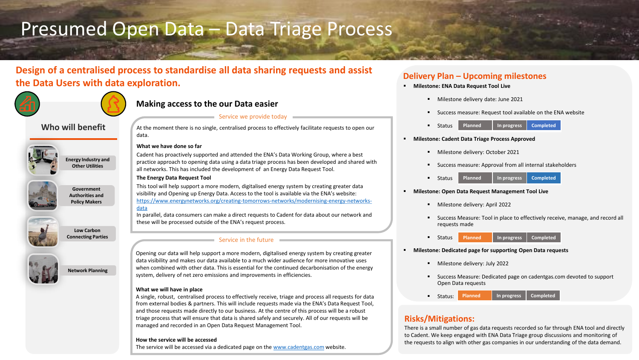# Presumed Open Data – Data Triage Process

# **Design of a centralised process to standardise all data sharing requests and assist the Data Users with data exploration.**



# **Making access to the our Data easier**

## **Who will benefit**



**Energy Industry and Other Utilities**

**Government Authorities and Policy Makers**



**Low Carbon Connecting Parties**



**Network Planning**

## Service we provide today

At the moment there is no single, centralised process to effectively facilitate requests to open our data.

### **What we have done so far**

Cadent has proactively supported and attended the ENA's Data Working Group, where a best practice approach to opening data using a data triage process has been developed and shared with all networks. This has included the development of an Energy Data Request Tool.

### **The Energy Data Request Tool**

data

This tool will help support a more modern, digitalised energy system by creating greater data visibility and Opening up Energy Data. Access to the tool is available via the ENA's website: [https://www.energynetworks.org/creating-tomorrows-networks/modernising-energy-networks-](https://gbr01.safelinks.protection.outlook.com/?url=https%3A%2F%2Fclicktime.symantec.com%2F33e2CXp4j6LZYX5cVWQR7R96H2%3Fu%3Dhttps%253A%252F%252Fwww.energynetworks.org%252Fcreating-tomorrows-networks%252Fmodernising-energy-networks-data&data=04%7C01%7Cjames.trinder%40cadentgas.com%7C64ea9527fdc24466bffb08d92c3e5be9%7Cde0d74aa99144bb99235fbefe83b1769%7C0%7C0%7C637589469499367842%7CUnknown%7CTWFpbGZsb3d8eyJWIjoiMC4wLjAwMDAiLCJQIjoiV2luMzIiLCJBTiI6Ik1haWwiLCJXVCI6Mn0%3D%7C1000&sdata=NCoEUWKIqYxOjzgOE6NuVF47oSoCtM7yof2BlhicQks%3D&reserved=0)

In parallel, data consumers can make a direct requests to Cadent for data about our network and these will be processed outside of the ENA's request process.

### Service in the future

Opening our data will help support a more modern, digitalised energy system by creating greater data visibility and makes our data available to a much wider audience for more innovative uses when combined with other data. This is essential for the continued decarbonisation of the energy system, delivery of net zero emissions and improvements in efficiencies.

### **What we will have in place**

A single, robust, centralised process to effectively receive, triage and process all requests for data from external bodies & partners. This will include requests made via the ENA's Data Request Tool, and those requests made directly to our business. At the centre of this process will be a robust triage process that will ensure that data is shared safely and securely. All of our requests will be managed and recorded in an Open Data Request Management Tool.

### **How the service will be accessed**

The service will be accessed via a dedicated page on the [www.cadentgas.com](http://www.cadentgas.com/) website.

# **Delivery Plan – Upcoming milestones**

- **Milestone: ENA Data Request Tool Live**
	- Milestone delivery date: June 2021
	- Success measure: Request tool available on the ENA website
	- Status **Planned In progress Completed**
- **Milestone: Cadent Data Triage Process Approved** 
	- Milestone delivery: October 2021
	- Success measure: Approval from all internal stakeholders



- **Milestone: Open Data Request Management Tool Live**
	- Milestone delivery: April 2022
	- **EXEDENS** Success Measure: Tool in place to effectively receive, manage, and record all requests made
	- Status **Planned In progress Completed**
- **Milestone: Dedicated page for supporting Open Data requests** 
	- Milestone delivery: July 2022
	- Success Measure: Dedicated page on cadentgas.com devoted to support Open Data requests
	- Status: **Planned In progress Completed**

# **Risks/Mitigations:**

the requests to align with other gas companies in our understanding of the data demand.<br>. There is a small number of gas data requests recorded so far through ENA tool and directly to Cadent. We keep engaged with ENA Data Triage group discussions and monitoring of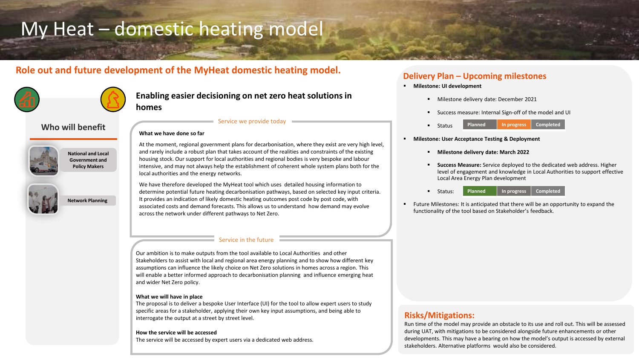# My Heat – domestic heating model

# **Role out and future development of the MyHeat domestic heating model. Delivery Plan – Upcoming milestones**

**What we have done so far**



# **Enabling easier decisioning on net zero heat solutions in homes**

### **Who will benefit**



**National and Local Government and Policy Makers**

**Network Planning**



At the moment, regional government plans for decarbonisation, where they exist are very high level, and rarely include a robust plan that takes account of the realities and constraints of the existing housing stock. Our support for local authorities and regional bodies is very bespoke and labour intensive, and may not always help the establishment of coherent whole system plans both for the local authorities and the energy networks.

Service we provide today

We have therefore developed the MyHeat tool which uses detailed housing information to determine potential future heating decarbonisation pathways, based on selected key input criteria. It provides an indication of likely domestic heating outcomes post code by post code, with associated costs and demand forecasts. This allows us to understand how demand may evolve across the network under different pathways to Net Zero.

### Service in the future

Our ambition is to make outputs from the tool available to Local Authorities and other Stakeholders to assist with local and regional area energy planning and to show how different key assumptions can influence the likely choice on Net Zero solutions in homes across a region. This will enable a better informed approach to decarbonisation planning and influence emerging heat and wider Net Zero policy.

### **What we will have in place**

The proposal is to deliver a bespoke User Interface (UI) for the tool to allow expert users to study specific areas for a stakeholder, applying their own key input assumptions, and being able to interrogate the output at a street by street level.

### **How the service will be accessed**

The service will be accessed by expert users via a dedicated web address.

- **Milestone: UI development** 
	- Milestone delivery date: December 2021
	- Success measure: Internal Sign-off of the model and UI
	- Status **Planned In progress Completed**
- **Milestone: User Acceptance Testing & Deployment**
	- **Milestone delivery date: March 2022**
	- **Success Measure:** Service deployed to the dedicated web address. Higher level of engagement and knowledge in Local Authorities to support effective Local Area Energy Plan development
	- Status: **Planned In progress Completed**
- Future Milestones: It is anticipated that there will be an opportunity to expand the functionality of the tool based on Stakeholder's feedback.

### **Risks/Mitigations:**

Digitalisation Action Plan 2021 **<sup>15</sup>** Run time of the model may provide an obstacle to its use and roll out. This will be assessed during UAT, with mitigations to be considered alongside future enhancements or other developments. This may have a bearing on how the model's output is accessed by external stakeholders. Alternative platforms would also be considered.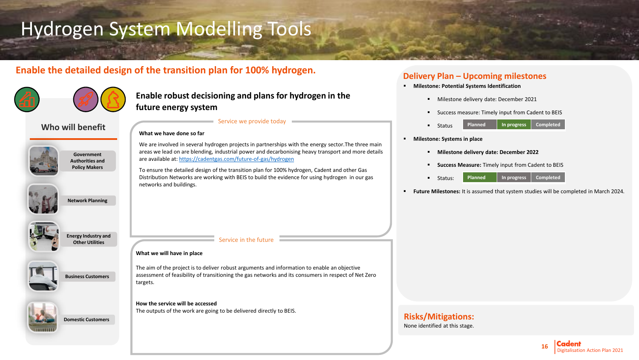# Hydrogen System Modelling Tools

# **Enable the detailed design of the transition plan for 100% hydrogen.** Delivery Plan – Upcoming milestones

**What we have done so far**

networks and buildings.



# **Enable robust decisioning and plans for hydrogen in the future energy system**

We are involved in several hydrogen projects in partnerships with the energy sector.The three main areas we lead on are blending, industrial power and decarbonising heavy transport and more details

To ensure the detailed design of the transition plan for 100% hydrogen, Cadent and other Gas Distribution Networks are working with BEIS to build the evidence for using hydrogen in our gas

Service we provide today

### **Who will benefit**



**Government Authorities and Policy Makers**

**Network Planning**







**Business Customers**



**Domestic Customers**

### Service in the future

### **What we will have in place**

The aim of the project is to deliver robust arguments and information to enable an objective assessment of feasibility of transitioning the gas networks and its consumers in respect of Net Zero targets.

### **How the service will be accessed**

The outputs of the work are going to be delivered directly to BEIS.

are available at:<https://cadentgas.com/future-of-gas/hydrogen>

- **Milestone: Potential Systems Identification** 
	- Milestone delivery date: December 2021
	- Success measure: Timely input from Cadent to BEIS
	- Status **Planned In progress Completed**
- **Milestone: Systems in place**
	- **Milestone delivery date: December 2022**
	- **Success Measure:** Timely input from Cadent to BEIS
	- Status: **Planned In progress Completed**
- **Future Milestones:** It is assumed that system studies will be completed in March 2024.

# **Risks/Mitigations:**

None identified at this stage.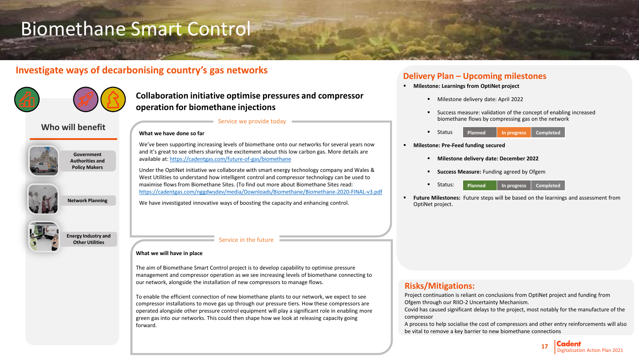# Biomethane Smart Control

# Investigate ways of decarbonising country's gas networks **business and all property Plan and American** *Plan Plan American*



# **Collaboration initiative optimise pressures and compressor operation for biomethane injections**

### **Who will benefit**



**Government Authorities and Policy Makers**

**Network Planning**



**Energy Industry and Other Utilities**

### Service we provide today

### **What we have done so far**

We've been supporting increasing levels of biomethane onto our networks for several years now and it's great to see others sharing the excitement about this low carbon gas. More details are available at:<https://cadentgas.com/future-of-gas/biomethane>

Under the OptiNet initiative we collaborate with smart energy technology company and Wales & West Utilities to understand how intelligent control and compressor technology can be used to maximise flows from Biomethane Sites. (To find out more about Biomethane Sites read: <https://cadentgas.com/nggdwsdev/media/Downloads/Biomethane/Biomethane-2020-FINAL-v3.pdf>

We have investigated innovative ways of boosting the capacity and enhancing control.

### Service in the future

### **What we will have in place**

The aim of Biomethane Smart Control project is to develop capability to optimise pressure management and compressor operation as we see increasing levels of biomethane connecting to our network, alongside the installation of new compressors to manage flows.

To enable the efficient connection of new biomethane plants to our network, we expect to see compressor installations to move gas up through our pressure tiers. How these compressors are operated alongside other pressure control equipment will play a significant role in enabling more green gas into our networks. This could then shape how we look at releasing capacity going forward.

- **Milestone: Learnings from OptiNet project**
	- Milestone delivery date: April 2022
	- Success measure: validation of the concept of enabling increased biomethane flows by compressing gas on the network
	- Status **Planned In progress Completed**
- **Milestone: Pre-Feed funding secured**
	- **Milestone delivery date: December 2022**
	- **EXECCESS Measure:** Funding agreed by Ofgem
	- Status: **Planned In progress Completed**
- **Future Milestones:** Future steps will be based on the learnings and assessment from OptiNet project.

### **Risks/Mitigations:**

Project continuation is reliant on conclusions from OptiNet project and funding from Ofgem through our RIIO-2 Uncertainty Mechanism.

Covid has caused significant delays to the project, most notably for the manufacture of the compressor

A process to help socialise the cost of compressors and other entry reinforcements will also be vital to remove a key barrier to new biomethane connections